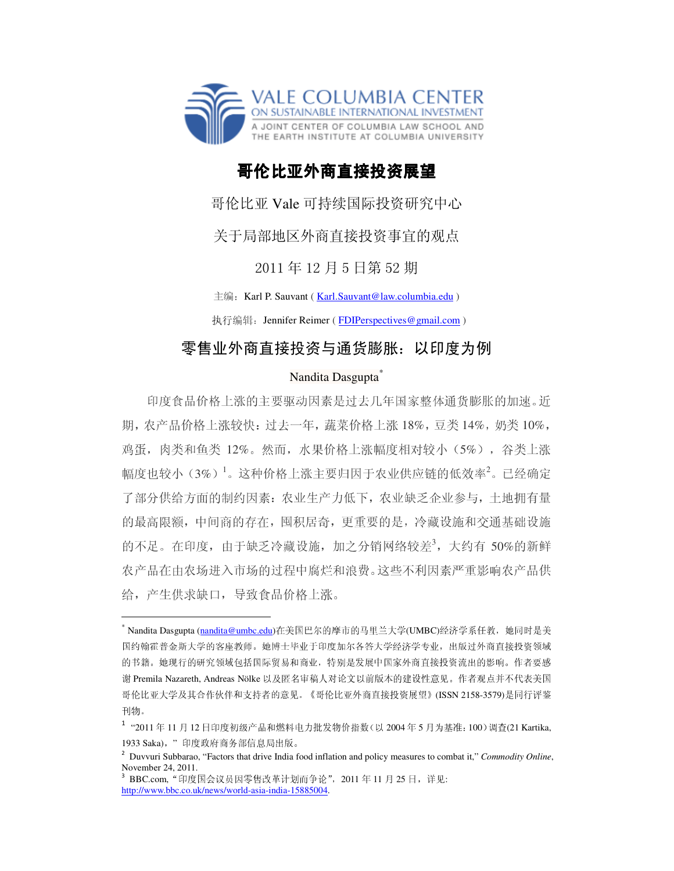

## 哥伦比亚外商直接投资展望

哥伦比亚 Vale 可持续国际投资研究中心

关于局部地区外商直接投资事宜的观点

2011 年 12 月 5 日第 52 期

主编: Karl P. Sauvant (Karl.Sauvant@law.columbia.edu)

执行编辑: Jennifer Reimer (FDIPerspectives@gmail.com)

## 零售业外商直接投资与通货膨胀:以印度为例

## Nandita Dasgupta<sup>\*</sup>

印度食品价格上涨的主要驱动因素是过去几年国家整体通货膨胀的加速。近 期,农产品价格上涨较快:过去一年,蔬菜价格上涨 18%,豆类 14%,奶类 10%, 鸡蛋,肉类和鱼类 12%。然而,水果价格上涨幅度相对较小(5%),谷类上涨 幅度也较小(3%)<sup>1</sup>。这种价格上涨主要归因于农业供应链的低效率<sup>2</sup>。已经确定 了部分供给方面的制约因素:农业生产力低下,农业缺乏企业参与,土地拥有量 的最高限额,中间商的存在,囤积居奇,更重要的是,冷藏设施和交通基础设施 的不足。在印度,由于缺乏冷藏设施,加之分销网络较差<sup>3</sup>,大约有 50%的新鲜 农产品在由农场进入市场的过程中腐烂和浪费。这些不利因素严重影响农产品供 给,产生供求缺口,导致食品价格上涨。

 $\overline{a}$ 

<sup>\*</sup> Nandita Dasgupta (nandita@umbc.edu)在美国巴尔的摩市的马里兰大学(UMBC)经济学系任教,她同时是美 国约翰霍普金斯大学的客座教师。她博士毕业于印度加尔各答大学经济学专业,出版过外商直接投资领域 的书籍。她现行的研究领域包括国际贸易和商业,特别是发展中国家外商直接投资流出的影响。作者要感 谢 Premila Nazareth, Andreas Nölke 以及匿名审稿人对论文以前版本的建设性意见。作者观点并不代表美国 哥伦比亚大学及其合作伙伴和支持者的意见。《哥伦比亚外商直接投资展望》(ISSN 2158-3579)是同行评鉴 刊物。

<sup>&</sup>lt;sup>1</sup> "2011年 11 月 12 日印度初级产品和燃料电力批发物价指数(以 2004年 5 月为基准: 100)调查(21 Kartika, 1933 Saka), "印度政府商务部信息局出版。

<sup>2</sup> Duvvuri Subbarao, "Factors that drive India food inflation and policy measures to combat it," *Commodity Online*, November 24, 2011. 3

BBC.com, "印度国会议员因零售改革计划而争论", 2011 年 11 月 25 日, 详见: http://www.bbc.co.uk/news/world-asia-india-15885004.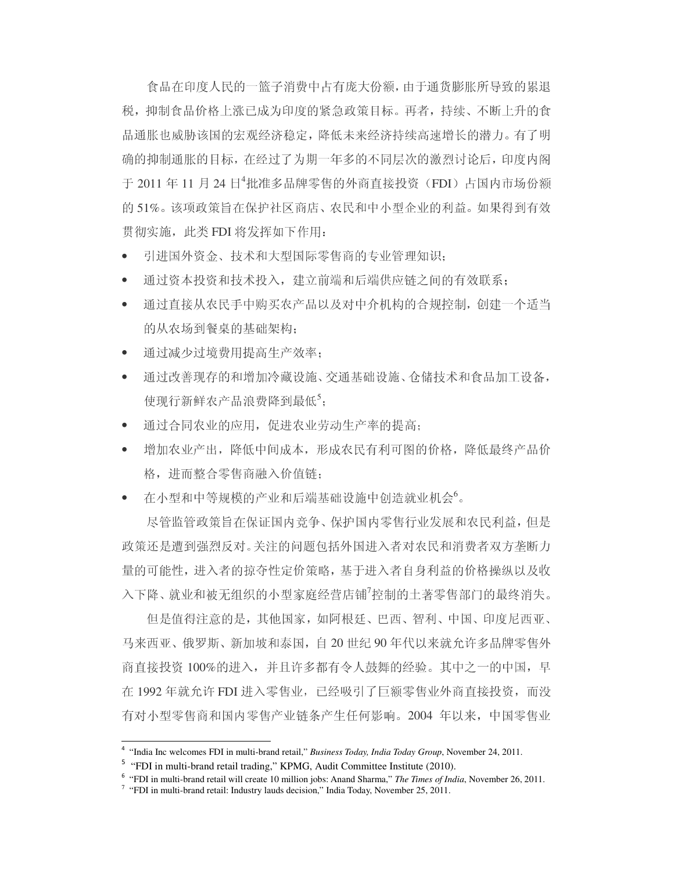食品在印度人民的一篮子消费中占有庞大份额,由于通货膨胀所导致的累退 税,抑制食品价格上涨已成为印度的紧急政策目标。再者,持续、不断上升的食 品通胀也威胁该国的宏观经济稳定,降低未来经济持续高速增长的潜力。有了明 确的抑制通胀的目标,在经过了为期一年多的不同层次的激烈讨论后,印度内阁 于 2011 年 11 月 24 日4批准多品牌零售的外商直接投资(FDI)占国内市场份额 的 51%。该项政策旨在保护社区商店、农民和中小型企业的利益。如果得到有效 贯彻实施, 此类 FDI 将发挥如下作用:

- 引进国外资金、技术和大型国际零售商的专业管理知识;
- 通过资本投资和技术投入,建立前端和后端供应链之间的有效联系;
- 通过直接从农民手中购买农产品以及对中介机构的合规控制,创建一个适当 的从农场到餐桌的基础架构;
- 通过减少过境费用提高生产效率;
- 通过改善现存的和增加冷藏设施、交通基础设施、仓储技术和食品加工设备, 使现行新鲜农产品浪费降到最低5;
- 通过合同农业的应用,促进农业劳动生产率的提高;
- 增加农业产出,降低中间成本,形成农民有利可图的价格,降低最终产品价 格,进而整合零售商融入价值链;
- 在小型和中等规模的产业和后端基础设施中创造就业机会<sup>6</sup>。

尽管监管政策旨在保证国内竞争、保护国内零售行业发展和农民利益,但是 政策还是遭到强烈反对。关注的问题包括外国进入者对农民和消费者双方垄断力 量的可能性,进入者的掠夺性定价策略,基于进入者自身利益的价格操纵以及收 入下降、就业和被无组织的小型家庭经营店铺<sup>7</sup>控制的土著零售部门的最终消失。

但是值得注意的是,其他国家,如阿根廷、巴西、智利、中国、印度尼西亚、 马来西亚、俄罗斯、新加坡和泰国,自 20 世纪 90 年代以来就允许多品牌零售外 商直接投资 100%的进入,并且许多都有令人鼓舞的经验。其中之一的中国,早 在 1992 年就允许 FDI 进入零售业,已经吸引了巨额零售业外商直接投资,而没 有对小型零售商和国内零售产业链条产生任何影响。2004 年以来,中国零售业

 $\overline{a}$ 

<sup>4</sup> "India Inc welcomes FDI in multi-brand retail," *Business Today, India Today Group*, November 24, 2011.

<sup>&</sup>lt;sup>5</sup> "FDI in multi-brand retail trading," KPMG, Audit Committee Institute (2010).

<sup>&</sup>lt;sup>6</sup> "FDI in multi-brand retail will create 10 million jobs: Anand Sharma," *The Times of India*, November 26, 2011.

<sup>&</sup>lt;sup>7</sup> "FDI in multi-brand retail: Industry lauds decision," India Today, November 25, 2011.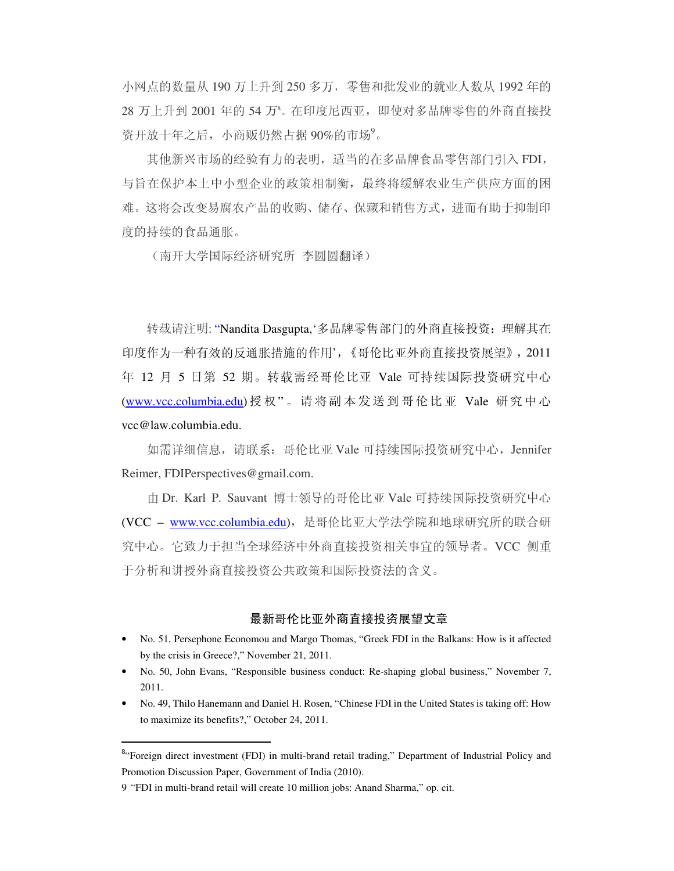小网点的数量从 190 万上升到 250 多万,零售和批发业的就业人数从 1992 年的 28 万上升到 2001 年的 54 万8。在印度尼西亚,即使对多品牌零售的外商直接投 资开放十年之后,小商贩仍然占据 90%的市场?。

其他新兴市场的经验有力的表明,适当的在多品牌食品零售部门引入 FDI, 与旨在保护本土中小型企业的政策相制衡,最终将缓解农业生产供应方面的困 难。这将会改变易腐农产品的收购、储存、保藏和销售方式,进而有助于抑制印 度的持续的食品通胀。

(南开大学国际经济研究所 李圆圆翻译)

转载请注明: "Nandita Dasgupta,'多品牌零售部门的外商直接投资: 理解其在 印度作为一种有效的反通胀措施的作用',《哥伦比亚外商直接投资展望》,2011 年 12 月 5 日第 52 期。转载需经哥伦比亚 Vale 可持续国际投资研究中心 (www.vcc.columbia.edu)授权" 。请将副 本 发送到哥伦比亚 Vale 研究中心 vcc@law.columbia.edu.

如需详细信息,请联系:哥伦比亚 Vale 可持续国际投资研究中心,Jennifer Reimer, FDIPerspectives@gmail.com.

由 Dr. Karl P. Sauvant 博士领导的哥伦比亚 Vale 可持续国际投资研究中心 (VCC - www.vcc.columbia.edu), 是哥伦比亚大学法学院和地球研究所的联合研 究中心。它致力于担当全球经济中外商直接投资相关事宜的领导者。VCC 侧重 于分析和讲授外商直接投资公共政策和国际投资法的含义。

## 最新哥伦比亚外商直接投资展望文章

- No. 51, Persephone Economou and Margo Thomas, "Greek FDI in the Balkans: How is it affected by the crisis in Greece?," November 21, 2011.
- No. 50, John Evans, "Responsible business conduct: Re-shaping global business," November 7, 2011.
- No. 49, Thilo Hanemann and Daniel H. Rosen, "Chinese FDI in the United States is taking off: How to maximize its benefits?," October 24, 2011.

 $\overline{a}$ 

<sup>&</sup>lt;sup>8</sup> 'Foreign direct investment (FDI) in multi-brand retail trading," Department of Industrial Policy and Promotion Discussion Paper, Government of India (2010).

<sup>9 &</sup>quot;FDI in multi-brand retail will create 10 million jobs: Anand Sharma," op. cit.